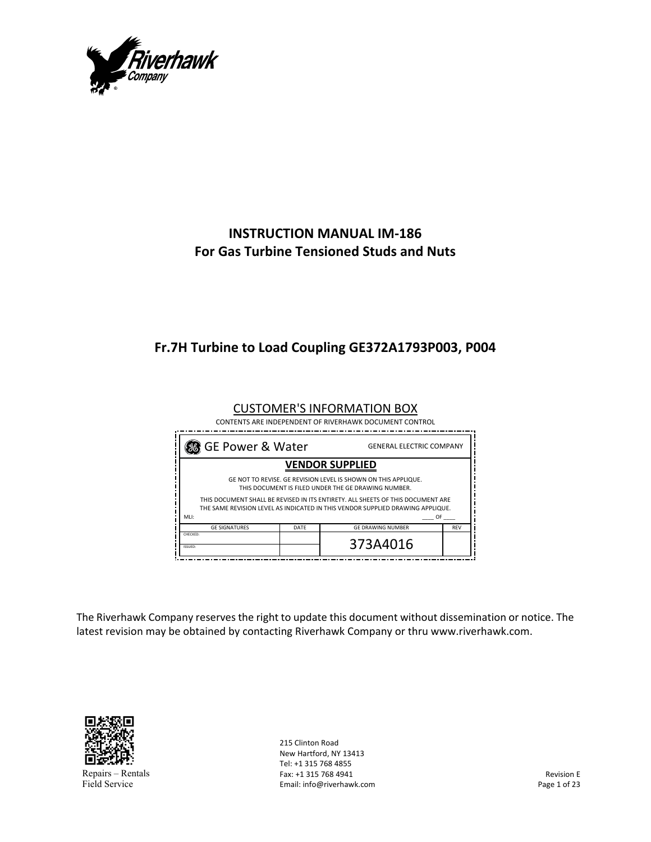

# **INSTRUCTION MANUAL IM‐186 For Gas Turbine Tensioned Studs and Nuts**

# **Fr.7H Turbine to Load Coupling GE372A1793P003, P004**

| 38 GE Power & Water<br><b>GENERAL ELECTRIC COMPANY</b>                                                                                                                          |                          |                                                                                                                       |  |  |
|---------------------------------------------------------------------------------------------------------------------------------------------------------------------------------|--------------------------|-----------------------------------------------------------------------------------------------------------------------|--|--|
|                                                                                                                                                                                 |                          |                                                                                                                       |  |  |
| GE NOT TO REVISE. GE REVISION LEVEL IS SHOWN ON THIS APPLIQUE.<br>THIS DOCUMENT IS FILED UNDER THE GE DRAWING NUMBER.                                                           |                          |                                                                                                                       |  |  |
| THIS DOCUMENT SHALL BE REVISED IN ITS ENTIRETY. ALL SHEETS OF THIS DOCUMENT ARE<br>THE SAME REVISION LEVEL AS INDICATED IN THIS VENDOR SUPPLIED DRAWING APPLIQUE.<br>MLI:<br>0F |                          |                                                                                                                       |  |  |
| DATE                                                                                                                                                                            | <b>GE DRAWING NUMBER</b> | <b>REV</b>                                                                                                            |  |  |
|                                                                                                                                                                                 | 373A4016                 |                                                                                                                       |  |  |
|                                                                                                                                                                                 |                          | <b>CUSTOMER'S INFORMATION BOX</b><br>CONTENTS ARE INDEPENDENT OF RIVERHAWK DOCUMENT CONTROL<br><b>VENDOR SUPPLIED</b> |  |  |

The Riverhawk Company reserves the right to update this document without dissemination or notice. The latest revision may be obtained by contacting Riverhawk Company or thru www.riverhawk.com.



Repairs – Rentals Field Service

215 Clinton Road New Hartford, NY 13413 Tel: +1 315 768 4855 Fax: +1 315 768 4941 Email: info@riverhawk.com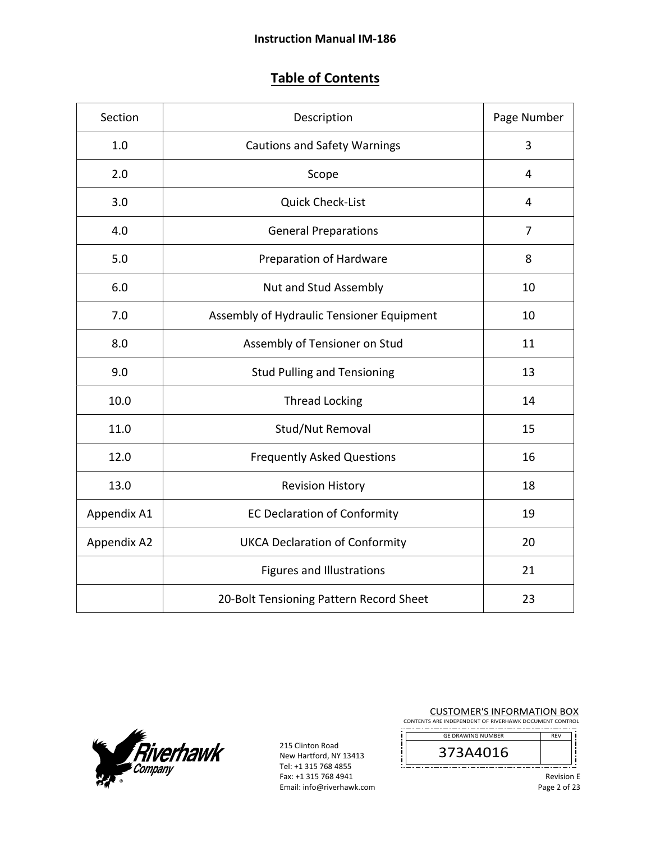# **Table of Contents**

| Section     | Description                               | Page Number    |
|-------------|-------------------------------------------|----------------|
| 1.0         | <b>Cautions and Safety Warnings</b>       | 3              |
| 2.0         | Scope                                     | 4              |
| 3.0         | <b>Quick Check-List</b>                   | 4              |
| 4.0         | <b>General Preparations</b>               | $\overline{7}$ |
| 5.0         | Preparation of Hardware                   | 8              |
| 6.0         | Nut and Stud Assembly                     | 10             |
| 7.0         | Assembly of Hydraulic Tensioner Equipment | 10             |
| 8.0         | Assembly of Tensioner on Stud             | 11             |
| 9.0         | <b>Stud Pulling and Tensioning</b>        | 13             |
| 10.0        | <b>Thread Locking</b>                     | 14             |
| 11.0        | Stud/Nut Removal                          | 15             |
| 12.0        | <b>Frequently Asked Questions</b>         | 16             |
| 13.0        | <b>Revision History</b>                   | 18             |
| Appendix A1 | <b>EC Declaration of Conformity</b>       | 19             |
| Appendix A2 | <b>UKCA Declaration of Conformity</b>     | 20             |
|             | <b>Figures and Illustrations</b>          | 21             |
|             | 20-Bolt Tensioning Pattern Record Sheet   | 23             |



215 Clinton Road New Hartford, NY 13413 Tel: +1 315 768 4855 Fax: +1 315 768 4941 Email: info@riverhawk.com CUSTOMER'S INFORMATION BOX

CONTENTS ARE INDEPENDENT OF RIVERHAWK DOCUMENT CONTROL REV GE DRAWING NUMBER

373A4016

į ļį 

j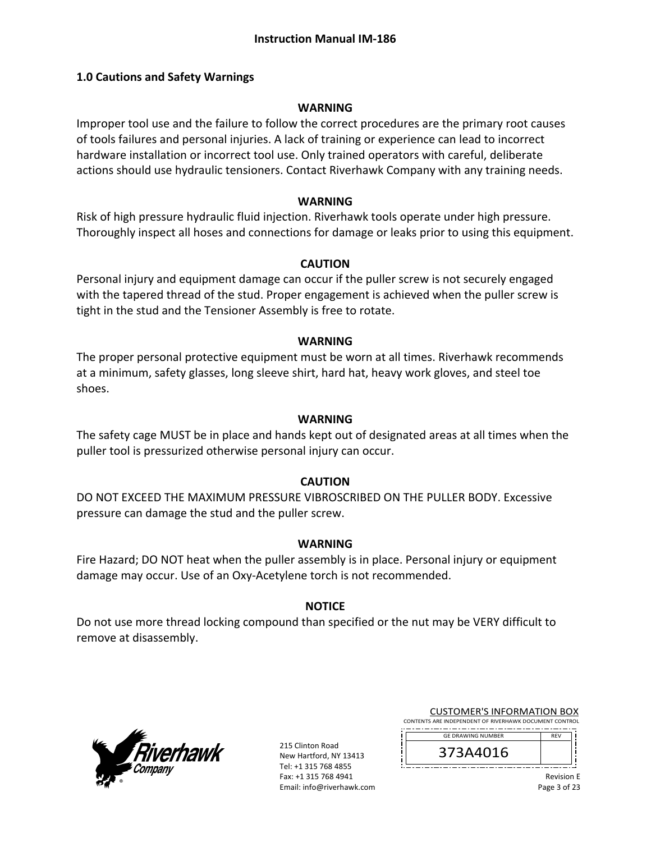#### **1.0 Cautions and Safety Warnings**

#### **WARNING**

Improper tool use and the failure to follow the correct procedures are the primary root causes of tools failures and personal injuries. A lack of training or experience can lead to incorrect hardware installation or incorrect tool use. Only trained operators with careful, deliberate actions should use hydraulic tensioners. Contact Riverhawk Company with any training needs.

#### **WARNING**

Risk of high pressure hydraulic fluid injection. Riverhawk tools operate under high pressure. Thoroughly inspect all hoses and connections for damage or leaks prior to using this equipment.

#### **CAUTION**

Personal injury and equipment damage can occur if the puller screw is not securely engaged with the tapered thread of the stud. Proper engagement is achieved when the puller screw is tight in the stud and the Tensioner Assembly is free to rotate.

#### **WARNING**

The proper personal protective equipment must be worn at all times. Riverhawk recommends at a minimum, safety glasses, long sleeve shirt, hard hat, heavy work gloves, and steel toe shoes.

#### **WARNING**

The safety cage MUST be in place and hands kept out of designated areas at all times when the puller tool is pressurized otherwise personal injury can occur.

#### **CAUTION**

DO NOT EXCEED THE MAXIMUM PRESSURE VIBROSCRIBED ON THE PULLER BODY. Excessive pressure can damage the stud and the puller screw.

#### **WARNING**

Fire Hazard; DO NOT heat when the puller assembly is in place. Personal injury or equipment damage may occur. Use of an Oxy‐Acetylene torch is not recommended.

#### **NOTICE**

Do not use more thread locking compound than specified or the nut may be VERY difficult to remove at disassembly.



215 Clinton Road New Hartford, NY 13413 Tel: +1 315 768 4855 Fax: +1 315 768 4941 Email: info@riverhawk.com

| <b>CUSTOMER'S INFORMATION BOX</b>                      |  |  |
|--------------------------------------------------------|--|--|
| CONTENTS ARE INDEPENDENT OF RIVERHAWK DOCUMENT CONTROL |  |  |

--------------------------------------REV GE DRAWING NUMBER

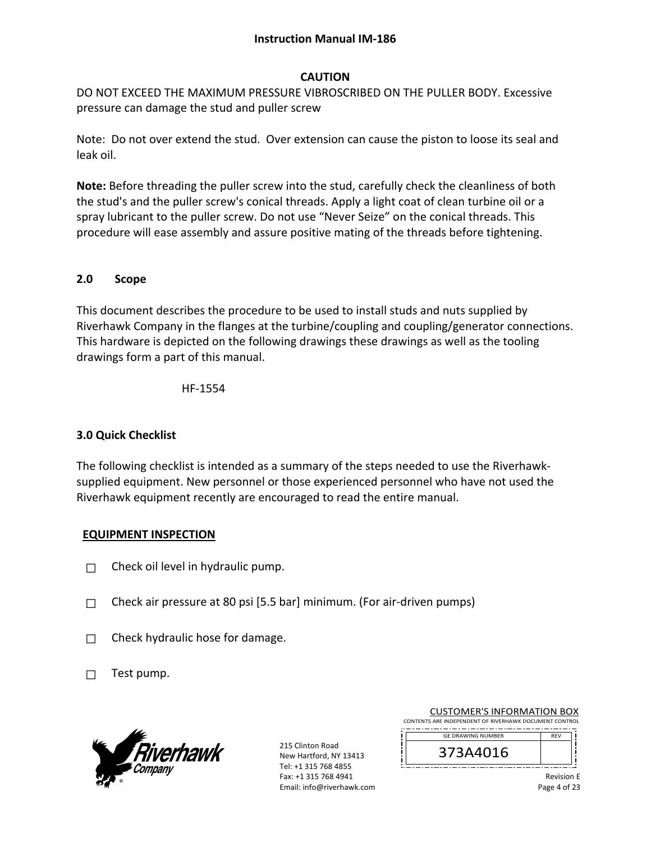#### **Instruction Manual IM‐186**

#### **CAUTION**

DO NOT EXCEED THE MAXIMUM PRESSURE VIBROSCRIBED ON THE PULLER BODY. Excessive pressure can damage the stud and puller screw

Note: Do not over extend the stud. Over extension can cause the piston to loose its seal and leak oil.

**Note:** Before threading the puller screw into the stud, carefully check the cleanliness of both the stud's and the puller screw's conical threads. Apply a light coat of clean turbine oil or a spray lubricant to the puller screw. Do not use "Never Seize" on the conical threads. This procedure will ease assembly and assure positive mating of the threads before tightening.

#### **2.0 Scope**

This document describes the procedure to be used to install studs and nuts supplied by Riverhawk Company in the flanges at the turbine/coupling and coupling/generator connections. This hardware is depicted on the following drawings these drawings as well as the tooling drawings form a part of this manual.

HF‐1554

#### **3.0 Quick Checklist**

The following checklist is intended as a summary of the steps needed to use the Riverhawk‐ supplied equipment. New personnel or those experienced personnel who have not used the Riverhawk equipment recently are encouraged to read the entire manual.

#### **EQUIPMENT INSPECTION**

- $\Box$  Check oil level in hydraulic pump.
- $\Box$  Check air pressure at 80 psi [5.5 bar] minimum. (For air-driven pumps)
- $\Box$  Check hydraulic hose for damage.
- $\Box$  Test pump.



215 Clinton Road New Hartford, NY 13413 Tel: +1 315 768 4855 Fax: +1 315 768 4941 Email: info@riverhawk.com

|                                                        |  |  |  | <b>CUSTOMER'S INFORMATION BOX</b> |  |
|--------------------------------------------------------|--|--|--|-----------------------------------|--|
| CONTENTS ARE INDEPENDENT OF RIVERHAWK DOCUMENT CONTROL |  |  |  |                                   |  |

--------------------------------------REV GE DRAWING NUMBER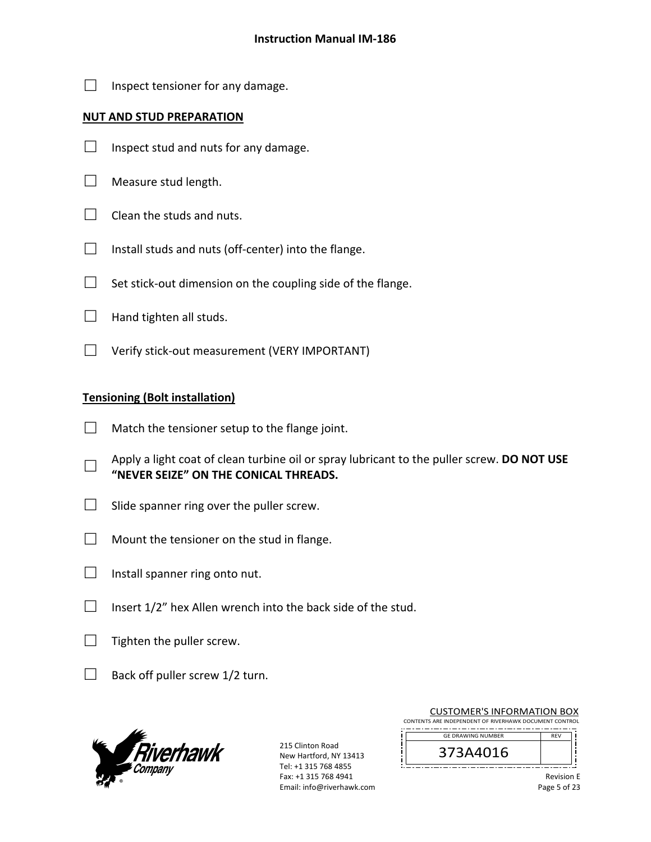$\Box$  Inspect tensioner for any damage.

#### **NUT AND STUD PREPARATION**

- $\Box$  Inspect stud and nuts for any damage.
- $\Box$  Measure stud length.
- $\Box$  Clean the studs and nuts.
- $\Box$  Install studs and nuts (off-center) into the flange.
- $\Box$  Set stick-out dimension on the coupling side of the flange.
- $\Box$  Hand tighten all studs.
- □ Verify stick‐out measurement (VERY IMPORTANT)

#### **Tensioning (Bolt installation)**

- $\Box$  Match the tensioner setup to the flange joint.
- □ Apply a light coat of clean turbine oil or spray lubricant to the puller screw. **DO NOT USE "NEVER SEIZE" ON THE CONICAL THREADS.**
- $\Box$  Slide spanner ring over the puller screw.
- $\Box$  Mount the tensioner on the stud in flange.
- $\Box$  Install spanner ring onto nut.
- $\Box$  Insert 1/2" hex Allen wrench into the back side of the stud.
- $\Box$  Tighten the puller screw.
- $\Box$  Back off puller screw 1/2 turn.



215 Clinton Road New Hartford, NY 13413 Tel: +1 315 768 4855 Fax: +1 315 768 4941 Email: info@riverhawk.com

| CONTENTS ARE INDEPENDENT OF RIVERHAWK DOCUMENT CONTROL |  |
|--------------------------------------------------------|--|
| <b>GE DRAWING NUMBER</b>                               |  |
| 373A4016                                               |  |

CUSTOMER'S INFORMATION BOX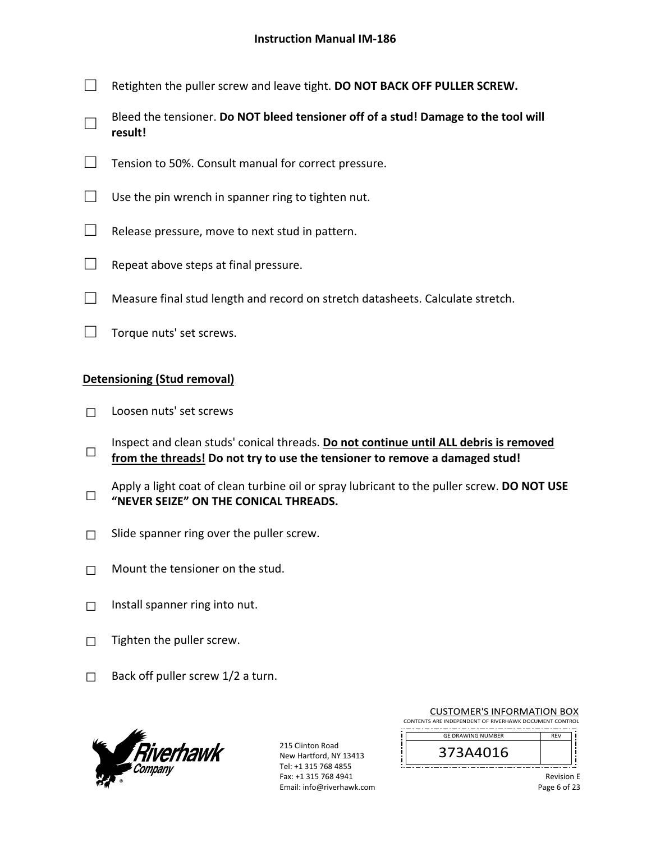- □ Retighten the puller screw and leave tight. **DO NOT BACK OFF PULLER SCREW.**
- □ Bleed the tensioner. **Do NOT bleed tensioner off of a stud! Damage to the tool will result!**
- $\Box$  Tension to 50%. Consult manual for correct pressure.
- $\Box$  Use the pin wrench in spanner ring to tighten nut.
- $\Box$  Release pressure, move to next stud in pattern.
- $\Box$  Repeat above steps at final pressure.
- $\Box$  Measure final stud length and record on stretch datasheets. Calculate stretch.
- □ Torque nuts' set screws.

#### **Detensioning (Stud removal)**

- □ Loosen nuts' set screws
- □ Inspect and clean studs' conical threads. **Do not continue until ALL debris is removed from the threads! Do not try to use the tensioner to remove a damaged stud!**
- □ Apply a light coat of clean turbine oil or spray lubricant to the puller screw. **DO NOT USE "NEVER SEIZE" ON THE CONICAL THREADS.**
- $\Box$  Slide spanner ring over the puller screw.
- $\Box$  Mount the tensioner on the stud.
- $\Box$  Install spanner ring into nut.
- $\Box$  Tighten the puller screw.
- $\Box$  Back off puller screw 1/2 a turn.



215 Clinton Road New Hartford, NY 13413 Tel: +1 315 768 4855 Fax: +1 315 768 4941 Email: info@riverhawk.com

| <b>GE DRAWING NUMBER</b> | <b>REV</b> |
|--------------------------|------------|
| l b                      |            |
|                          |            |

CUSTOMER'S INFORMATION BOX CONTENTS ARE INDEPENDENT OF RIVERHAWK DOCUMENT CONTROL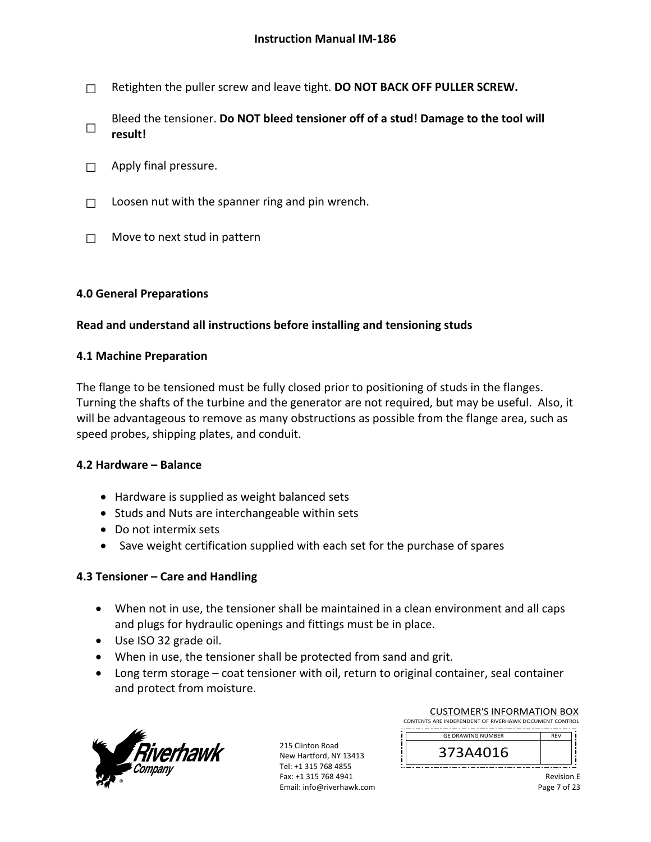□ Retighten the puller screw and leave tight. **DO NOT BACK OFF PULLER SCREW.**

□ Bleed the tensioner. **Do NOT bleed tensioner off of a stud! Damage to the tool will result!**

- $\Box$  Apply final pressure.
- $\Box$  Loosen nut with the spanner ring and pin wrench.
- $\Box$  Move to next stud in pattern

#### **4.0 General Preparations**

#### **Read and understand all instructions before installing and tensioning studs**

#### **4.1 Machine Preparation**

The flange to be tensioned must be fully closed prior to positioning of studs in the flanges. Turning the shafts of the turbine and the generator are not required, but may be useful. Also, it will be advantageous to remove as many obstructions as possible from the flange area, such as speed probes, shipping plates, and conduit.

#### **4.2 Hardware – Balance**

- Hardware is supplied as weight balanced sets
- Studs and Nuts are interchangeable within sets
- Do not intermix sets
- Save weight certification supplied with each set for the purchase of spares

#### **4.3 Tensioner – Care and Handling**

- When not in use, the tensioner shall be maintained in a clean environment and all caps and plugs for hydraulic openings and fittings must be in place.
- Use ISO 32 grade oil.
- When in use, the tensioner shall be protected from sand and grit.
- Long term storage coat tensioner with oil, return to original container, seal container and protect from moisture.



215 Clinton Road New Hartford, NY 13413 Tel: +1 315 768 4855 Fax: +1 315 768 4941 Email: info@riverhawk.com

| CONTENTS ARE INDEPENDENT OF RIVERHAWK DOCUMENT CONTROL |            |  |
|--------------------------------------------------------|------------|--|
|                                                        |            |  |
| <b>GE DRAWING NUMBER</b>                               | <b>RFV</b> |  |
|                                                        |            |  |
|                                                        |            |  |

CUSTOMER'S INFORMATION BOX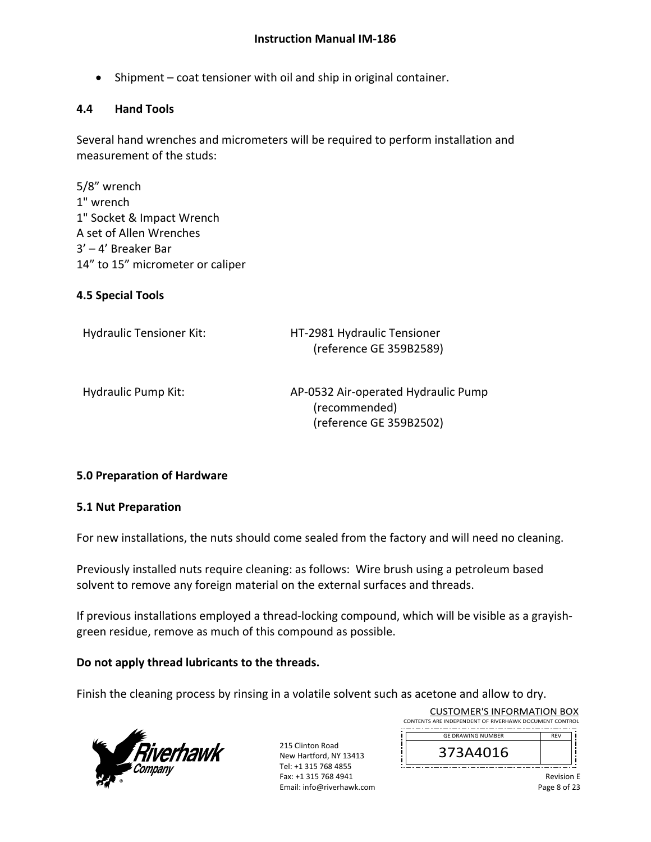• Shipment – coat tensioner with oil and ship in original container.

#### **4.4 Hand Tools**

Several hand wrenches and micrometers will be required to perform installation and measurement of the studs:

5/8" wrench 1" wrench 1" Socket & Impact Wrench A set of Allen Wrenches 3' – 4' Breaker Bar 14" to 15" micrometer or caliper

### **4.5 Special Tools**

| <b>Hydraulic Tensioner Kit:</b> | HT-2981 Hydraulic Tensioner<br>(reference GE 359B2589)                          |
|---------------------------------|---------------------------------------------------------------------------------|
| Hydraulic Pump Kit:             | AP-0532 Air-operated Hydraulic Pump<br>(recommended)<br>(reference GE 359B2502) |

#### **5.0 Preparation of Hardware**

#### **5.1 Nut Preparation**

For new installations, the nuts should come sealed from the factory and will need no cleaning.

Previously installed nuts require cleaning: as follows: Wire brush using a petroleum based solvent to remove any foreign material on the external surfaces and threads.

If previous installations employed a thread‐locking compound, which will be visible as a grayish‐ green residue, remove as much of this compound as possible.

#### **Do not apply thread lubricants to the threads.**

Finish the cleaning process by rinsing in a volatile solvent such as acetone and allow to dry.



215 Clinton Road New Hartford, NY 13413 Tel: +1 315 768 4855 Fax: +1 315 768 4941 Email: info@riverhawk.com

| CONTENTS ARE INDEPENDENT OF RIVERHAWK DOCUMENT CONTROL |            |  |
|--------------------------------------------------------|------------|--|
| <b>GE DRAWING NUMBER</b>                               | <b>RFV</b> |  |
| 373A4016                                               |            |  |

CUSTOMER'S INFORMATION BOX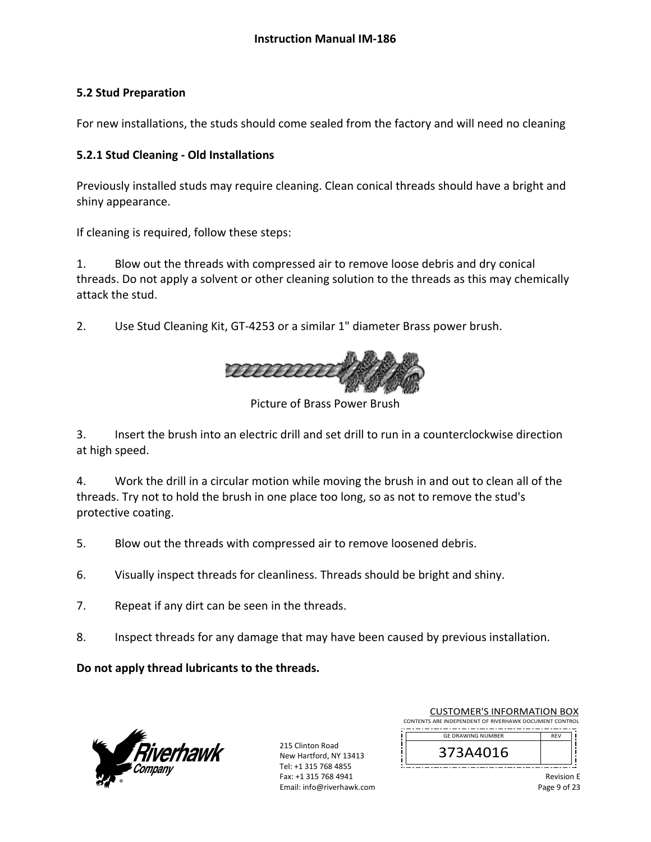### **5.2 Stud Preparation**

For new installations, the studs should come sealed from the factory and will need no cleaning

### **5.2.1 Stud Cleaning ‐ Old Installations**

Previously installed studs may require cleaning. Clean conical threads should have a bright and shiny appearance.

If cleaning is required, follow these steps:

1. Blow out the threads with compressed air to remove loose debris and dry conical threads. Do not apply a solvent or other cleaning solution to the threads as this may chemically attack the stud.

2. Use Stud Cleaning Kit, GT-4253 or a similar 1" diameter Brass power brush.



Picture of Brass Power Brush

3. Insert the brush into an electric drill and set drill to run in a counterclockwise direction at high speed.

4. Work the drill in a circular motion while moving the brush in and out to clean all of the threads. Try not to hold the brush in one place too long, so as not to remove the stud's protective coating.

- 5. Blow out the threads with compressed air to remove loosened debris.
- 6. Visually inspect threads for cleanliness. Threads should be bright and shiny.
- 7. Repeat if any dirt can be seen in the threads.
- 8. Inspect threads for any damage that may have been caused by previous installation.

**Do not apply thread lubricants to the threads.** 



215 Clinton Road New Hartford, NY 13413 Tel: +1 315 768 4855 Fax: +1 315 768 4941 Email: info@riverhawk.com

| <b>CUSTOMER'S INFORMATION BOX</b>                      |            |  |
|--------------------------------------------------------|------------|--|
| CONTENTS ARE INDEPENDENT OF RIVERHAWK DOCUMENT CONTROL |            |  |
| <b>GE DRAWING NUMBER</b>                               | <b>RFV</b> |  |

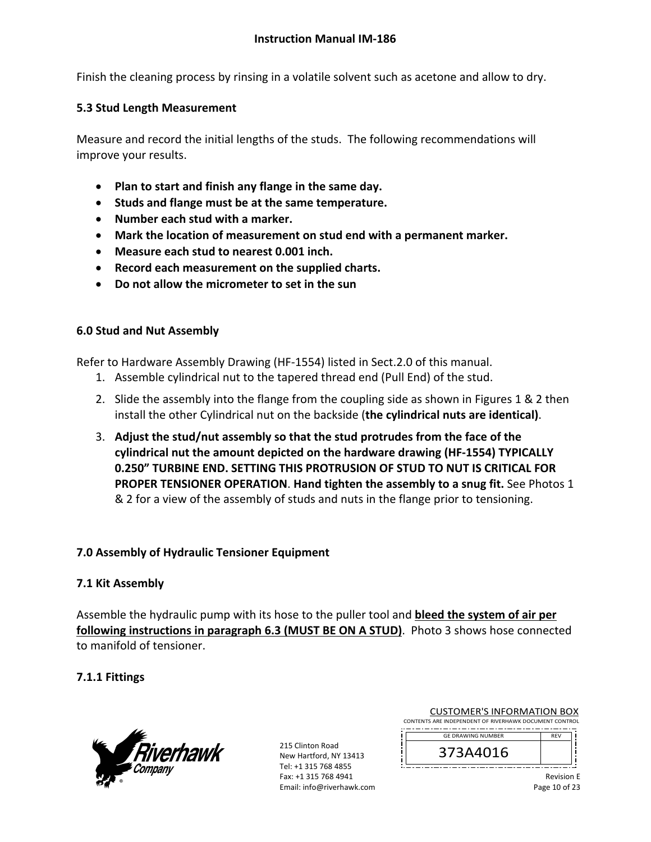Finish the cleaning process by rinsing in a volatile solvent such as acetone and allow to dry.

#### **5.3 Stud Length Measurement**

Measure and record the initial lengths of the studs. The following recommendations will improve your results.

- **Plan to start and finish any flange in the same day.**
- **Studs and flange must be at the same temperature.**
- **Number each stud with a marker.**
- **Mark the location of measurement on stud end with a permanent marker.**
- **Measure each stud to nearest 0.001 inch.**
- **Record each measurement on the supplied charts.**
- **Do not allow the micrometer to set in the sun**

#### **6.0 Stud and Nut Assembly**

Refer to Hardware Assembly Drawing (HF‐1554) listed in Sect.2.0 of this manual.

- 1. Assemble cylindrical nut to the tapered thread end (Pull End) of the stud.
- 2. Slide the assembly into the flange from the coupling side as shown in Figures 1 & 2 then install the other Cylindrical nut on the backside (**the cylindrical nuts are identical)**.
- 3. **Adjust the stud/nut assembly so that the stud protrudes from the face of the cylindrical nut the amount depicted on the hardware drawing (HF‐1554) TYPICALLY 0.250" TURBINE END. SETTING THIS PROTRUSION OF STUD TO NUT IS CRITICAL FOR PROPER TENSIONER OPERATION**. **Hand tighten the assembly to a snug fit.** See Photos 1 & 2 for a view of the assembly of studs and nuts in the flange prior to tensioning.

#### **7.0 Assembly of Hydraulic Tensioner Equipment**

#### **7.1 Kit Assembly**

Assemble the hydraulic pump with its hose to the puller tool and **bleed the system of air per following instructions in paragraph 6.3 (MUST BE ON A STUD)**. Photo 3 shows hose connected to manifold of tensioner.

#### **7.1.1 Fittings**



215 Clinton Road New Hartford, NY 13413 Tel: +1 315 768 4855 Fax: +1 315 768 4941 Email: info@riverhawk.com

CUSTOMER'S INFORMATION BOX CONTENTS ARE INDEPENDENT OF RIVERHAWK DOCUMENT CONTROL

--------------------------REV GE DRAWING NUMBER

373A4016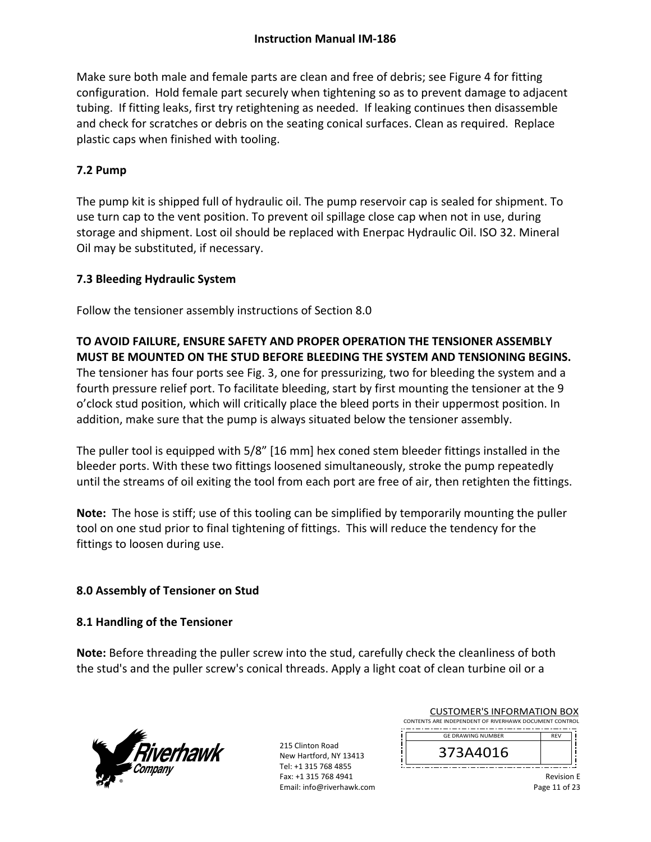Make sure both male and female parts are clean and free of debris; see Figure 4 for fitting configuration. Hold female part securely when tightening so as to prevent damage to adjacent tubing. If fitting leaks, first try retightening as needed. If leaking continues then disassemble and check for scratches or debris on the seating conical surfaces. Clean as required. Replace plastic caps when finished with tooling.

### **7.2 Pump**

The pump kit is shipped full of hydraulic oil. The pump reservoir cap is sealed for shipment. To use turn cap to the vent position. To prevent oil spillage close cap when not in use, during storage and shipment. Lost oil should be replaced with Enerpac Hydraulic Oil. ISO 32. Mineral Oil may be substituted, if necessary.

### **7.3 Bleeding Hydraulic System**

Follow the tensioner assembly instructions of Section 8.0

**TO AVOID FAILURE, ENSURE SAFETY AND PROPER OPERATION THE TENSIONER ASSEMBLY MUST BE MOUNTED ON THE STUD BEFORE BLEEDING THE SYSTEM AND TENSIONING BEGINS.**  The tensioner has four ports see Fig. 3, one for pressurizing, two for bleeding the system and a fourth pressure relief port. To facilitate bleeding, start by first mounting the tensioner at the 9 o'clock stud position, which will critically place the bleed ports in their uppermost position. In addition, make sure that the pump is always situated below the tensioner assembly.

The puller tool is equipped with 5/8" [16 mm] hex coned stem bleeder fittings installed in the bleeder ports. With these two fittings loosened simultaneously, stroke the pump repeatedly until the streams of oil exiting the tool from each port are free of air, then retighten the fittings.

Note: The hose is stiff; use of this tooling can be simplified by temporarily mounting the puller tool on one stud prior to final tightening of fittings. This will reduce the tendency for the fittings to loosen during use.

### **8.0 Assembly of Tensioner on Stud**

### **8.1 Handling of the Tensioner**

**Note:** Before threading the puller screw into the stud, carefully check the cleanliness of both the stud's and the puller screw's conical threads. Apply a light coat of clean turbine oil or a



215 Clinton Road New Hartford, NY 13413 Tel: +1 315 768 4855 Fax: +1 315 768 4941 Email: info@riverhawk.com

| <b>CUSTOMER'S INFORMATION BOX</b>                           |  |
|-------------------------------------------------------------|--|
| CONTENTS ARE INDEPENDENT OF RIVERHAWK DOCUMENT CONTROL      |  |
| -------------------------<br>--<br><b>GF DRAWING NUMBER</b> |  |

373A4016

REV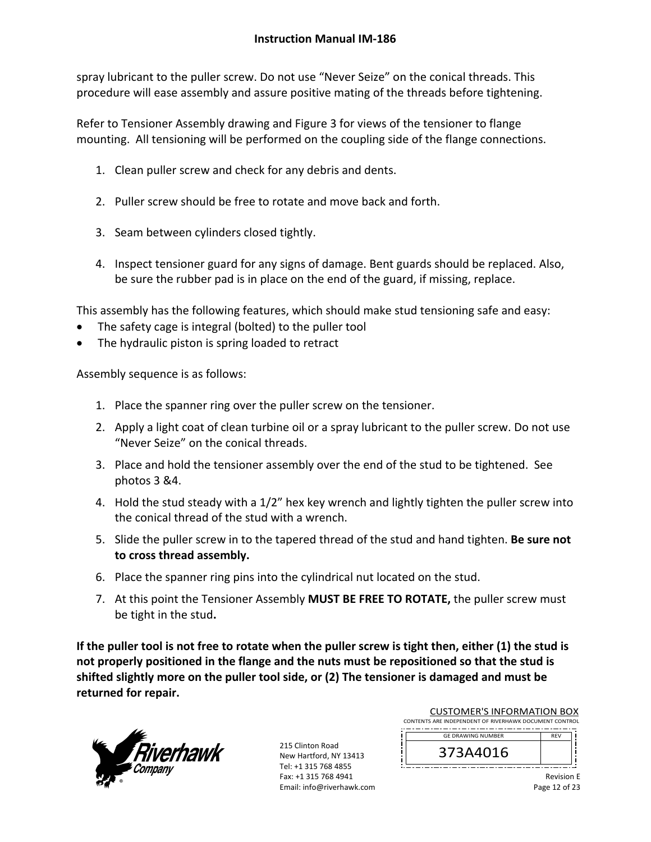spray lubricant to the puller screw. Do not use "Never Seize" on the conical threads. This procedure will ease assembly and assure positive mating of the threads before tightening.

Refer to Tensioner Assembly drawing and Figure 3 for views of the tensioner to flange mounting. All tensioning will be performed on the coupling side of the flange connections.

- 1. Clean puller screw and check for any debris and dents.
- 2. Puller screw should be free to rotate and move back and forth.
- 3. Seam between cylinders closed tightly.
- 4. Inspect tensioner guard for any signs of damage. Bent guards should be replaced. Also, be sure the rubber pad is in place on the end of the guard, if missing, replace.

This assembly has the following features, which should make stud tensioning safe and easy:

- The safety cage is integral (bolted) to the puller tool
- The hydraulic piston is spring loaded to retract

Assembly sequence is as follows:

- 1. Place the spanner ring over the puller screw on the tensioner.
- 2. Apply a light coat of clean turbine oil or a spray lubricant to the puller screw. Do not use "Never Seize" on the conical threads.
- 3. Place and hold the tensioner assembly over the end of the stud to be tightened. See photos 3 &4.
- 4. Hold the stud steady with a 1/2" hex key wrench and lightly tighten the puller screw into the conical thread of the stud with a wrench.
- 5. Slide the puller screw in to the tapered thread of the stud and hand tighten. **Be sure not to cross thread assembly.**
- 6. Place the spanner ring pins into the cylindrical nut located on the stud.
- 7. At this point the Tensioner Assembly **MUST BE FREE TO ROTATE,** the puller screw must be tight in the stud**.**

**If the puller tool is not free to rotate when the puller screw is tight then, either (1) the stud is not properly positioned in the flange and the nuts must be repositioned so that the stud is shifted slightly more on the puller tool side, or (2) The tensioner is damaged and must be returned for repair.** 



215 Clinton Road New Hartford, NY 13413 Tel: +1 315 768 4855 Fax: +1 315 768 4941 Email: info@riverhawk.com

| <b>CUSTOMER'S INFORMATION BOX</b>                      |  |
|--------------------------------------------------------|--|
| CONTENTS ARE INDEPENDENT OF RIVERHAWK DOCUMENT CONTROL |  |
| <b>GE DRAWING NUMBER</b>                               |  |
|                                                        |  |

373A4016

Revision E Page 12 of 23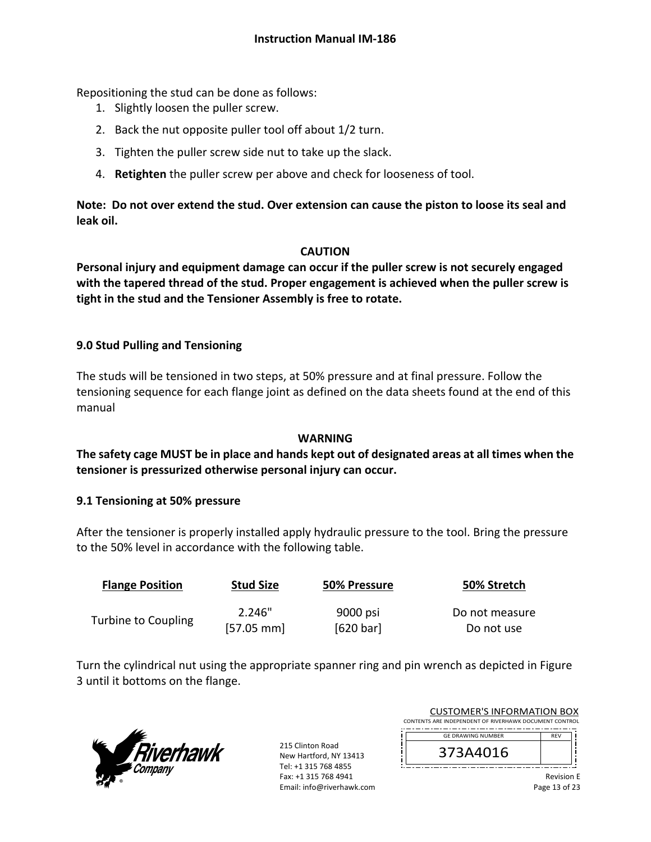Repositioning the stud can be done as follows:

- 1. Slightly loosen the puller screw.
- 2. Back the nut opposite puller tool off about 1/2 turn.
- 3. Tighten the puller screw side nut to take up the slack.
- 4. **Retighten** the puller screw per above and check for looseness of tool.

**Note: Do not over extend the stud. Over extension can cause the piston to loose its seal and leak oil.** 

#### **CAUTION**

**Personal injury and equipment damage can occur if the puller screw is not securely engaged with the tapered thread of the stud. Proper engagement is achieved when the puller screw is tight in the stud and the Tensioner Assembly is free to rotate.**

### **9.0 Stud Pulling and Tensioning**

The studs will be tensioned in two steps, at 50% pressure and at final pressure. Follow the tensioning sequence for each flange joint as defined on the data sheets found at the end of this manual

#### **WARNING**

### **The safety cage MUST be in place and hands kept out of designated areas at all times when the tensioner is pressurized otherwise personal injury can occur.**

#### **9.1 Tensioning at 50% pressure**

After the tensioner is properly installed apply hydraulic pressure to the tool. Bring the pressure to the 50% level in accordance with the following table.

| <b>Flange Position</b> | <b>Stud Size</b>     | 50% Pressure | 50% Stretch    |
|------------------------|----------------------|--------------|----------------|
|                        | 2.246"               | 9000 psi     | Do not measure |
| Turbine to Coupling    | $[57.05 \text{ mm}]$ | [620 bar]    | Do not use     |

Turn the cylindrical nut using the appropriate spanner ring and pin wrench as depicted in Figure 3 until it bottoms on the flange.



215 Clinton Road New Hartford, NY 13413 Tel: +1 315 768 4855 Fax: +1 315 768 4941 Email: info@riverhawk.com i I

|                                                        | CUSTUMER S INFORMATION BUX |                      |          |  |
|--------------------------------------------------------|----------------------------|----------------------|----------|--|
| CONTENTS ARE INDEPENDENT OF RIVERHAWK DOCUMENT CONTROL |                            |                      |          |  |
|                                                        | --<br>--<br>--             | --<br>--<br>--<br>-- | --<br>-- |  |
|                                                        | <b>GF DRAWING NUMBER</b>   |                      |          |  |

CUCTOMERIC INFORMATION BOY

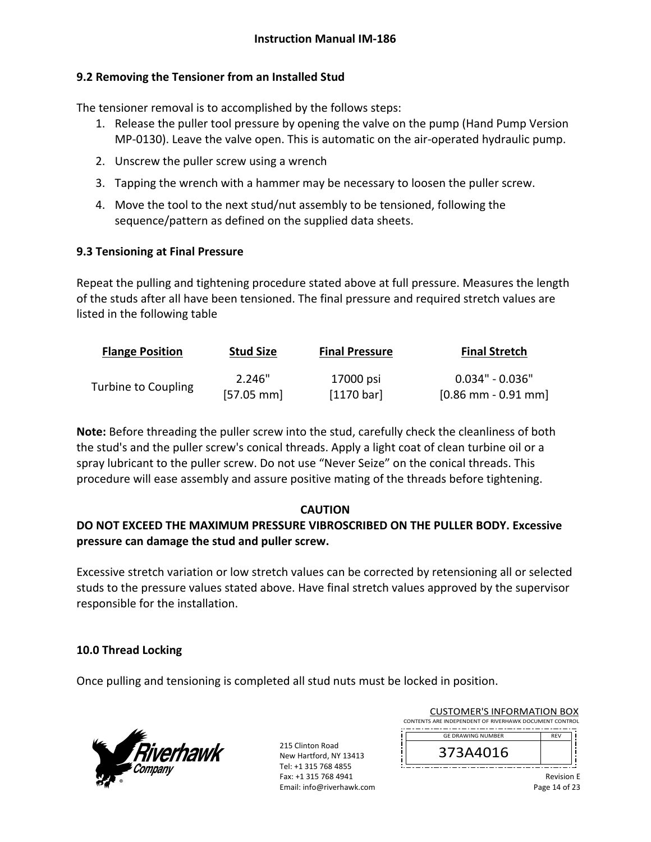### **9.2 Removing the Tensioner from an Installed Stud**

The tensioner removal is to accomplished by the follows steps:

- 1. Release the puller tool pressure by opening the valve on the pump (Hand Pump Version MP‐0130). Leave the valve open. This is automatic on the air‐operated hydraulic pump.
- 2. Unscrew the puller screw using a wrench
- 3. Tapping the wrench with a hammer may be necessary to loosen the puller screw.
- 4. Move the tool to the next stud/nut assembly to be tensioned, following the sequence/pattern as defined on the supplied data sheets.

### **9.3 Tensioning at Final Pressure**

Repeat the pulling and tightening procedure stated above at full pressure. Measures the length of the studs after all have been tensioned. The final pressure and required stretch values are listed in the following table

| <b>Flange Position</b> | <b>Stud Size</b> | <b>Final Pressure</b> | <b>Final Stretch</b> |
|------------------------|------------------|-----------------------|----------------------|
|                        | 2.246"           | 17000 psi             | $0.034"$ - $0.036"$  |
| Turbine to Coupling    | $[57.05$ mm      | [1170 bar]            | $[0.86$ mm - 0.91 mm |

**Note:** Before threading the puller screw into the stud, carefully check the cleanliness of both the stud's and the puller screw's conical threads. Apply a light coat of clean turbine oil or a spray lubricant to the puller screw. Do not use "Never Seize" on the conical threads. This procedure will ease assembly and assure positive mating of the threads before tightening.

#### **CAUTION**

## **DO NOT EXCEED THE MAXIMUM PRESSURE VIBROSCRIBED ON THE PULLER BODY. Excessive pressure can damage the stud and puller screw.**

Excessive stretch variation or low stretch values can be corrected by retensioning all or selected studs to the pressure values stated above. Have final stretch values approved by the supervisor responsible for the installation.

### **10.0 Thread Locking**

Once pulling and tensioning is completed all stud nuts must be locked in position.



215 Clinton Road New Hartford, NY 13413 Tel: +1 315 768 4855 Fax: +1 315 768 4941 Email: info@riverhawk.com

|                                                        | CUSTUMER S INFORMATION BUX |                      |          |  |
|--------------------------------------------------------|----------------------------|----------------------|----------|--|
| CONTENTS ARE INDEPENDENT OF RIVERHAWK DOCUMENT CONTROL |                            |                      |          |  |
|                                                        | --<br>--<br>--             | --<br>--<br>--<br>-- | --<br>-- |  |
|                                                        | <b>GF DRAWING NUMBER</b>   |                      |          |  |

CUCTOMERIC INFORMATION BOY

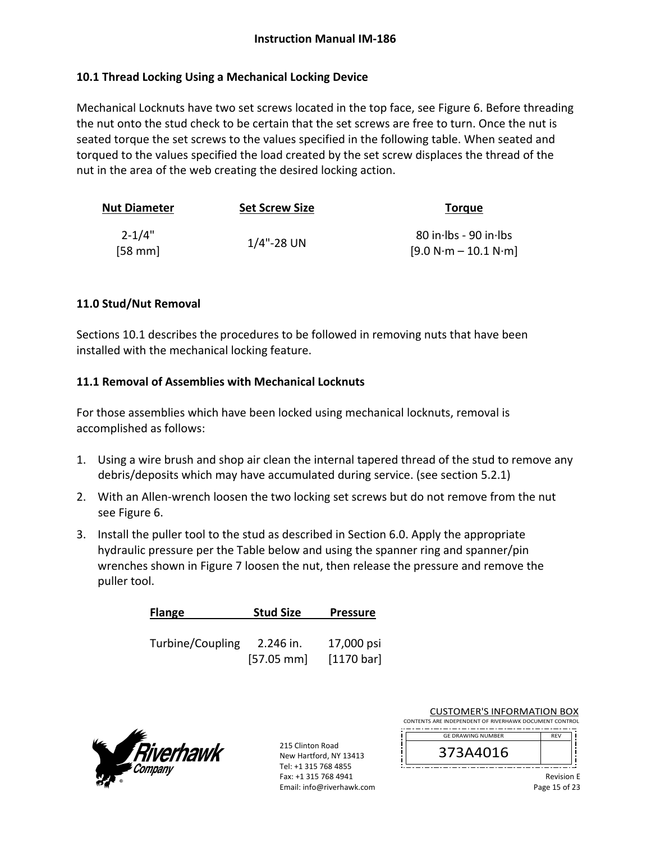### **10.1 Thread Locking Using a Mechanical Locking Device**

Mechanical Locknuts have two set screws located in the top face, see Figure 6. Before threading the nut onto the stud check to be certain that the set screws are free to turn. Once the nut is seated torque the set screws to the values specified in the following table. When seated and torqued to the values specified the load created by the set screw displaces the thread of the nut in the area of the web creating the desired locking action.

| <b>Nut Diameter</b> | <b>Set Screw Size</b> | <b>Torgue</b>           |  |
|---------------------|-----------------------|-------------------------|--|
| $2 - 1/4"$          |                       | $80$ in Ibs - 90 in Ibs |  |
| [58 mm]             | $1/4$ "-28 UN         | $[9.0 N·m - 10.1 N·m]$  |  |

#### **11.0 Stud/Nut Removal**

Sections 10.1 describes the procedures to be followed in removing nuts that have been installed with the mechanical locking feature.

#### **11.1 Removal of Assemblies with Mechanical Locknuts**

For those assemblies which have been locked using mechanical locknuts, removal is accomplished as follows:

- 1. Using a wire brush and shop air clean the internal tapered thread of the stud to remove any debris/deposits which may have accumulated during service. (see section 5.2.1)
- 2. With an Allen-wrench loosen the two locking set screws but do not remove from the nut see Figure 6.
- 3. Install the puller tool to the stud as described in Section 6.0. Apply the appropriate hydraulic pressure per the Table below and using the spanner ring and spanner/pin wrenches shown in Figure 7 loosen the nut, then release the pressure and remove the puller tool.

| <b>Flange</b>    | <b>Stud Size</b>     | <b>Pressure</b> |
|------------------|----------------------|-----------------|
|                  |                      |                 |
| Turbine/Coupling | 2.246 in.            | 17,000 psi      |
|                  | $[57.05 \text{ mm}]$ | [1170 bar]      |



215 Clinton Road New Hartford, NY 13413 Tel: +1 315 768 4855 Fax: +1 315 768 4941 Email: info@riverhawk.com

| CONTENTS ARE INDEPENDENT OF RIVERHAWK DOCUMENT CONTROL |            |  |
|--------------------------------------------------------|------------|--|
| <b>GE DRAWING NUMBER</b>                               | <b>RFV</b> |  |
| 373A4016                                               |            |  |
|                                                        |            |  |

CUSTOMER'S INFORMATION BOX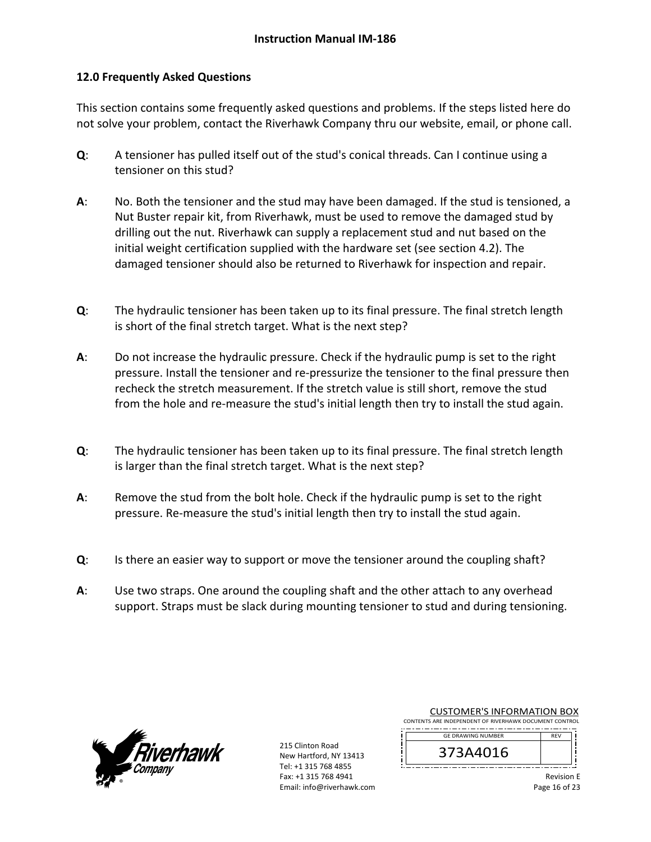#### **12.0 Frequently Asked Questions**

This section contains some frequently asked questions and problems. If the steps listed here do not solve your problem, contact the Riverhawk Company thru our website, email, or phone call.

- **Q**: A tensioner has pulled itself out of the stud's conical threads. Can I continue using a tensioner on this stud?
- **A**: No. Both the tensioner and the stud may have been damaged. If the stud is tensioned, a Nut Buster repair kit, from Riverhawk, must be used to remove the damaged stud by drilling out the nut. Riverhawk can supply a replacement stud and nut based on the initial weight certification supplied with the hardware set (see section 4.2). The damaged tensioner should also be returned to Riverhawk for inspection and repair.
- **Q**: The hydraulic tensioner has been taken up to its final pressure. The final stretch length is short of the final stretch target. What is the next step?
- **A**: Do not increase the hydraulic pressure. Check if the hydraulic pump is set to the right pressure. Install the tensioner and re‐pressurize the tensioner to the final pressure then recheck the stretch measurement. If the stretch value is still short, remove the stud from the hole and re-measure the stud's initial length then try to install the stud again.
- **Q**: The hydraulic tensioner has been taken up to its final pressure. The final stretch length is larger than the final stretch target. What is the next step?
- **A**: Remove the stud from the bolt hole. Check if the hydraulic pump is set to the right pressure. Re‐measure the stud's initial length then try to install the stud again.
- **Q**: Is there an easier way to support or move the tensioner around the coupling shaft?
- **A**: Use two straps. One around the coupling shaft and the other attach to any overhead support. Straps must be slack during mounting tensioner to stud and during tensioning.



215 Clinton Road New Hartford, NY 13413 Tel: +1 315 768 4855 Fax: +1 315 768 4941 Email: info@riverhawk.com i

| CONTENTS ARE INDEPENDENT OF RIVERHAWK DOCUMENT CONTROL |            |  |
|--------------------------------------------------------|------------|--|
| <b>GE DRAWING NUMBER</b>                               | <b>RFV</b> |  |
|                                                        |            |  |

CUSTOMER'S INFORMATION BOX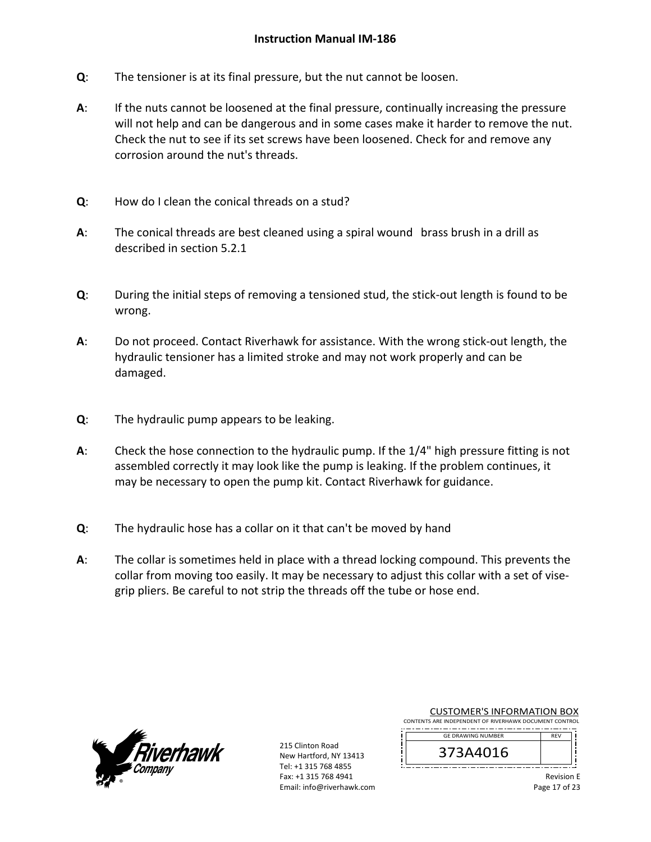- **Q**: The tensioner is at its final pressure, but the nut cannot be loosen.
- **A**: If the nuts cannot be loosened at the final pressure, continually increasing the pressure will not help and can be dangerous and in some cases make it harder to remove the nut. Check the nut to see if its set screws have been loosened. Check for and remove any corrosion around the nut's threads.
- **Q**: How do I clean the conical threads on a stud?
- **A**: The conical threads are best cleaned using a spiral wound brass brush in a drill as described in section 5.2.1
- **Q**: During the initial steps of removing a tensioned stud, the stick‐out length is found to be wrong.
- **A**: Do not proceed. Contact Riverhawk for assistance. With the wrong stick‐out length, the hydraulic tensioner has a limited stroke and may not work properly and can be damaged.
- **Q**: The hydraulic pump appears to be leaking.
- **A**: Check the hose connection to the hydraulic pump. If the 1/4" high pressure fitting is not assembled correctly it may look like the pump is leaking. If the problem continues, it may be necessary to open the pump kit. Contact Riverhawk for guidance.
- **Q**: The hydraulic hose has a collar on it that can't be moved by hand
- **A**: The collar is sometimes held in place with a thread locking compound. This prevents the collar from moving too easily. It may be necessary to adjust this collar with a set of vise‐ grip pliers. Be careful to not strip the threads off the tube or hose end.



215 Clinton Road New Hartford, NY 13413 Tel: +1 315 768 4855 Fax: +1 315 768 4941 Email: info@riverhawk.com

| <b>CUSTOMER'S INFORMATION BOX</b>                      |  |  |
|--------------------------------------------------------|--|--|
| CONTENTS ARE INDEPENDENT OF RIVERHAWK DOCUMENT CONTROL |  |  |

--------------------------------------REV GE DRAWING NUMBER

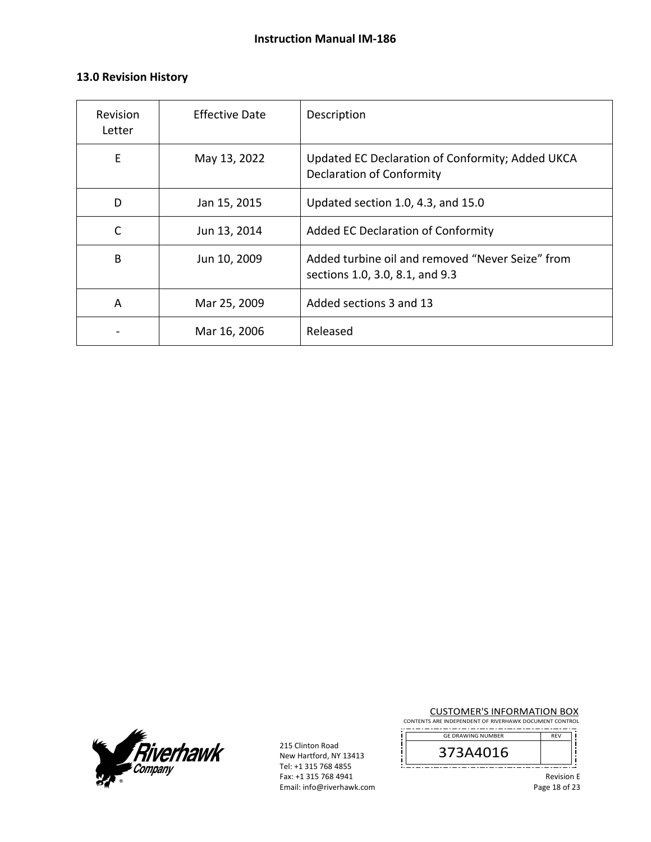### **13.0 Revision History**

| Revision<br>Letter | <b>Effective Date</b> | Description                                                                          |
|--------------------|-----------------------|--------------------------------------------------------------------------------------|
| E                  | May 13, 2022          | Updated EC Declaration of Conformity; Added UKCA<br><b>Declaration of Conformity</b> |
| D                  | Jan 15, 2015          | Updated section 1.0, 4.3, and 15.0                                                   |
| $\mathsf{C}$       | Jun 13, 2014          | Added EC Declaration of Conformity                                                   |
| B                  | Jun 10, 2009          | Added turbine oil and removed "Never Seize" from<br>sections 1.0, 3.0, 8.1, and 9.3  |
| A                  | Mar 25, 2009          | Added sections 3 and 13                                                              |
|                    | Mar 16, 2006          | Released                                                                             |



215 Clinton Road New Hartford, NY 13413 Tel: +1 315 768 4855 Fax: +1 315 768 4941 Email: info@riverhawk.com

j

CUSTOMER'S INFORMATION BOX

CONTENTS ARE INDEPENDENT OF RIVERHAWK DOCUMENT CONTROL REV GE DRAWING NUMBER



į l ! 

į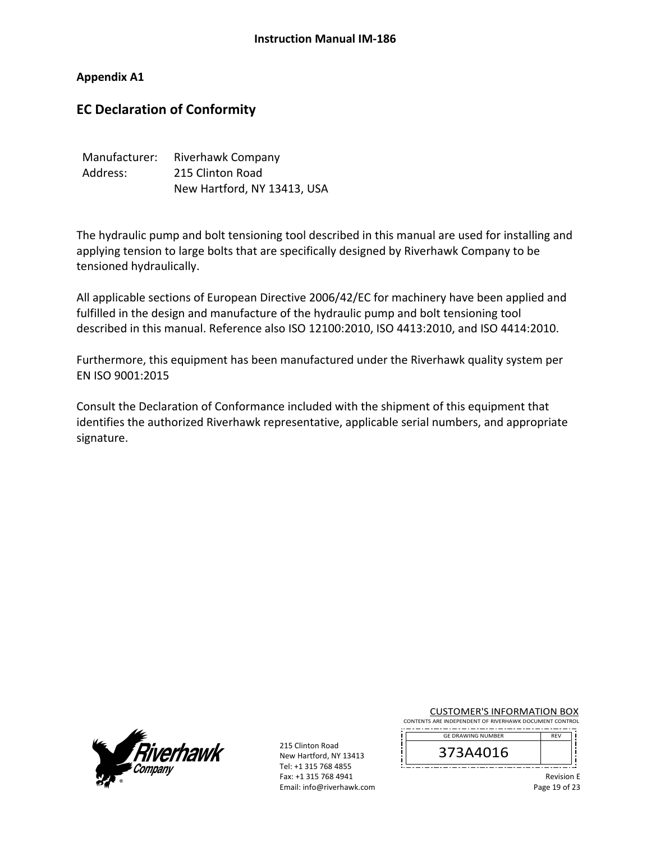**Appendix A1** 

## **EC Declaration of Conformity**

| Manufacturer: | Riverhawk Company           |
|---------------|-----------------------------|
| Address:      | 215 Clinton Road            |
|               | New Hartford, NY 13413, USA |

The hydraulic pump and bolt tensioning tool described in this manual are used for installing and applying tension to large bolts that are specifically designed by Riverhawk Company to be tensioned hydraulically.

All applicable sections of European Directive 2006/42/EC for machinery have been applied and fulfilled in the design and manufacture of the hydraulic pump and bolt tensioning tool described in this manual. Reference also ISO 12100:2010, ISO 4413:2010, and ISO 4414:2010.

Furthermore, this equipment has been manufactured under the Riverhawk quality system per EN ISO 9001:2015

Consult the Declaration of Conformance included with the shipment of this equipment that identifies the authorized Riverhawk representative, applicable serial numbers, and appropriate signature.



215 Clinton Road New Hartford, NY 13413 Tel: +1 315 768 4855 Fax: +1 315 768 4941 Email: info@riverhawk.com CUSTOMER'S INFORMATION BOX

CONTENTS ARE INDEPENDENT OF RIVERHAWK DOCUMENT CONTROL \_.\_......................... REV GE DRAWING NUMBER

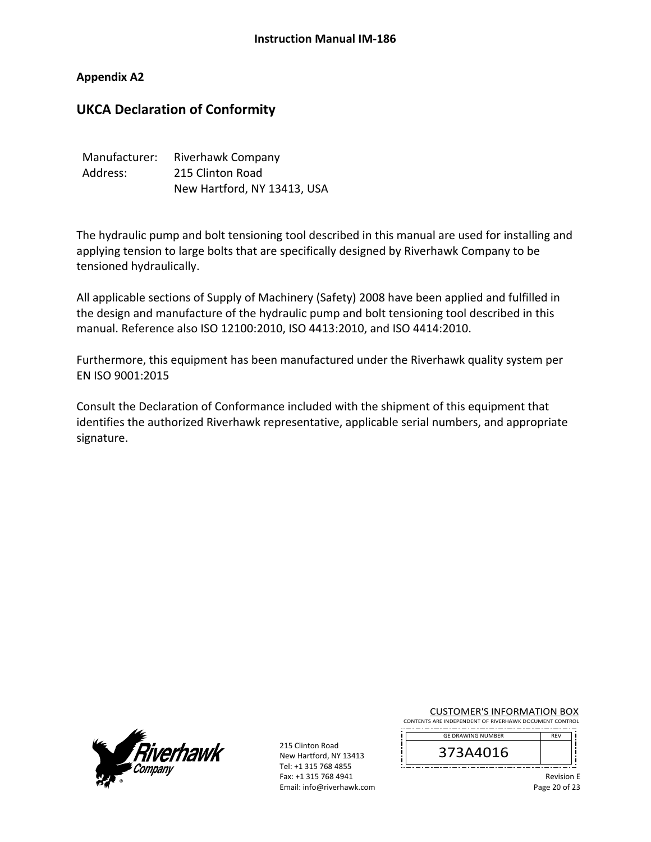#### **Appendix A2**

## **UKCA Declaration of Conformity**

| Manufacturer: | <b>Riverhawk Company</b>    |
|---------------|-----------------------------|
| Address:      | 215 Clinton Road            |
|               | New Hartford, NY 13413, USA |

The hydraulic pump and bolt tensioning tool described in this manual are used for installing and applying tension to large bolts that are specifically designed by Riverhawk Company to be tensioned hydraulically.

All applicable sections of Supply of Machinery (Safety) 2008 have been applied and fulfilled in the design and manufacture of the hydraulic pump and bolt tensioning tool described in this manual. Reference also ISO 12100:2010, ISO 4413:2010, and ISO 4414:2010.

Furthermore, this equipment has been manufactured under the Riverhawk quality system per EN ISO 9001:2015

Consult the Declaration of Conformance included with the shipment of this equipment that identifies the authorized Riverhawk representative, applicable serial numbers, and appropriate signature.



215 Clinton Road New Hartford, NY 13413 Tel: +1 315 768 4855 Fax: +1 315 768 4941 Email: info@riverhawk.com CUSTOMER'S INFORMATION BOX

CONTENTS ARE INDEPENDENT OF RIVERHAWK DOCUMENT CONTROL \_.\_......................... REV GE DRAWING NUMBER

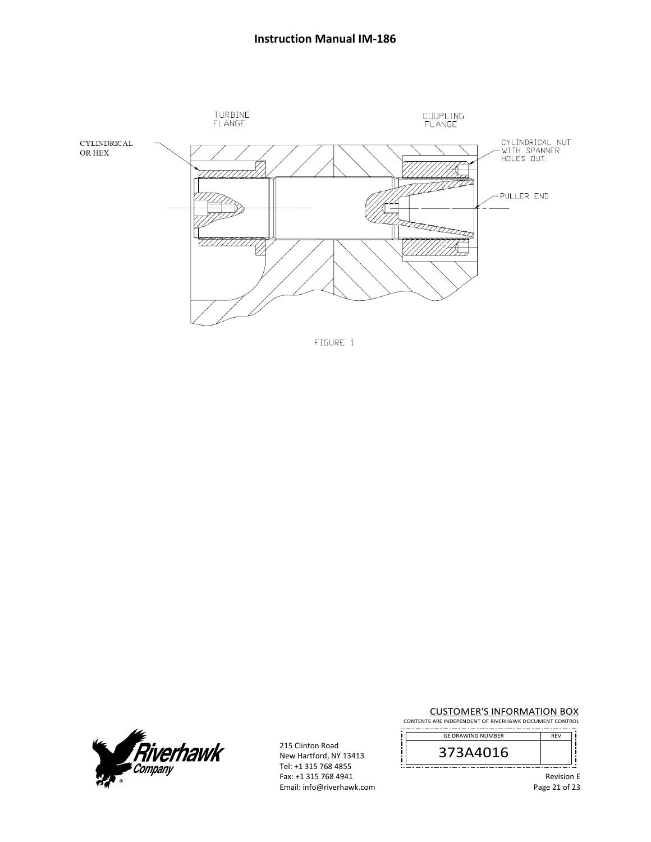





215 Clinton Road New Hartford, NY 13413 Tel: +1 315 768 4855 Fax: +1 315 768 4941 Email: info@riverhawk.com CUSTOMER'S INFORMATION BOX

CONTENTS ARE INDEPENDENT OF RIVERHAWK DOCUMENT CONTROL REV GE DRAWING NUMBER



l ! --------

> Revision E Page 21 of 23

j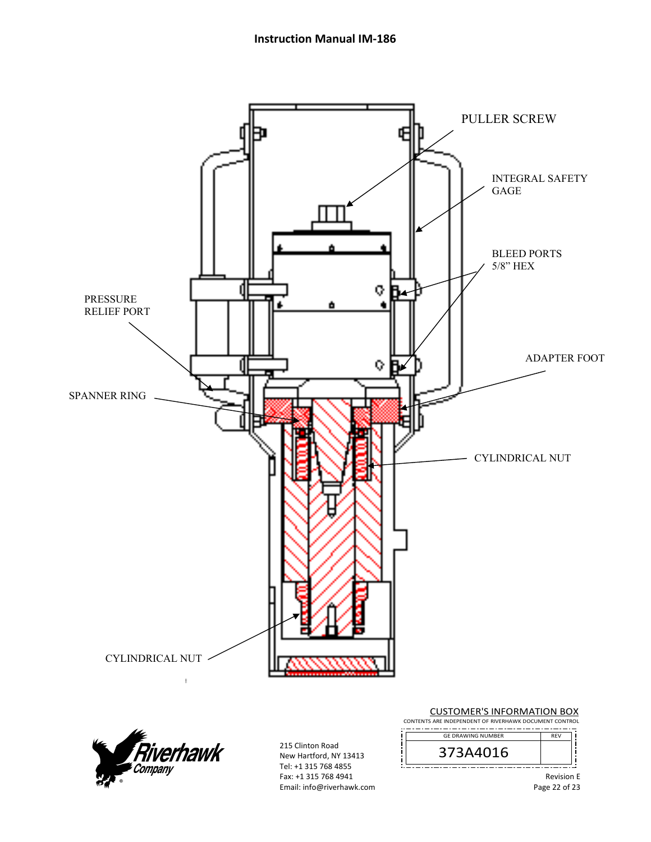



215 Clinton Road New Hartford, NY 13413 Tel: +1 315 768 4855 Fax: +1 315 768 4941 Email: info@riverhawk.com